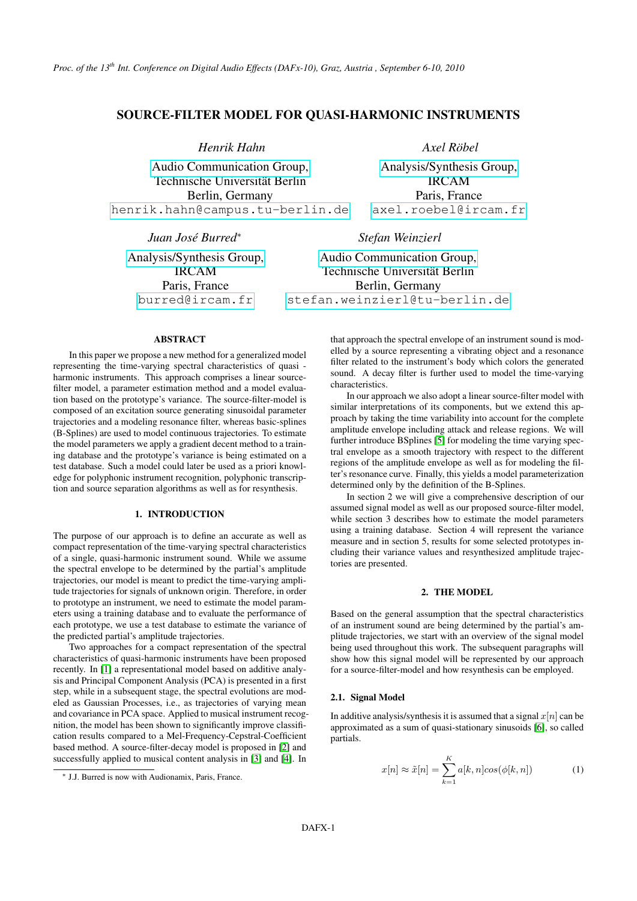# SOURCE-FILTER MODEL FOR QUASI-HARMONIC INSTRUMENTS

*Henrik Hahn*

[Audio Communication Group,](http://www.ak.tu-berlin.de) Technische Universität Berlin Berlin, Germany [henrik.hahn@campus.tu-berlin.de](mailto:henrik.hahn@campus.tu-berlin.de)

*Juan José Burred*<sup>∗</sup>

[Analysis/Synthesis Group,](http://www.ircam.fr) IRCAM Paris, France [burred@ircam.fr](mailto:burred@ircam.fr)

*Axel Röbel*

[Analysis/Synthesis Group,](http://www.ircam.fr) IRCAM Paris, France [axel.roebel@ircam.fr](mailto:axel.roebel@ircam.fr)

*Stefan Weinzierl*

[Audio Communication Group,](http://www.ak.tu-berlin.de) Technische Universität Berlin Berlin, Germany [stefan.weinzierl@tu-berlin.de](mailto:stefan.weinzierl@tu-berlin.de)

### **ABSTRACT**

In this paper we propose a new method for a generalized model representing the time-varying spectral characteristics of quasi harmonic instruments. This approach comprises a linear sourcefilter model, a parameter estimation method and a model evaluation based on the prototype's variance. The source-filter-model is composed of an excitation source generating sinusoidal parameter trajectories and a modeling resonance filter, whereas basic-splines (B-Splines) are used to model continuous trajectories. To estimate the model parameters we apply a gradient decent method to a training database and the prototype's variance is being estimated on a test database. Such a model could later be used as a priori knowledge for polyphonic instrument recognition, polyphonic transcription and source separation algorithms as well as for resynthesis.

### 1. INTRODUCTION

The purpose of our approach is to define an accurate as well as compact representation of the time-varying spectral characteristics of a single, quasi-harmonic instrument sound. While we assume the spectral envelope to be determined by the partial's amplitude trajectories, our model is meant to predict the time-varying amplitude trajectories for signals of unknown origin. Therefore, in order to prototype an instrument, we need to estimate the model parameters using a training database and to evaluate the performance of each prototype, we use a test database to estimate the variance of the predicted partial's amplitude trajectories.

Two approaches for a compact representation of the spectral characteristics of quasi-harmonic instruments have been proposed recently. In [\[1\]](#page-5-0) a representational model based on additive analysis and Principal Component Analysis (PCA) is presented in a first step, while in a subsequent stage, the spectral evolutions are modeled as Gaussian Processes, i.e., as trajectories of varying mean and covariance in PCA space. Applied to musical instrument recognition, the model has been shown to significantly improve classification results compared to a Mel-Frequency-Cepstral-Coefficient based method. A source-filter-decay model is proposed in [\[2\]](#page-5-1) and successfully applied to musical content analysis in [\[3\]](#page-5-2) and [\[4\]](#page-5-3). In

that approach the spectral envelope of an instrument sound is modelled by a source representing a vibrating object and a resonance filter related to the instrument's body which colors the generated sound. A decay filter is further used to model the time-varying characteristics.

In our approach we also adopt a linear source-filter model with similar interpretations of its components, but we extend this approach by taking the time variability into account for the complete amplitude envelope including attack and release regions. We will further introduce BSplines [\[5\]](#page-5-4) for modeling the time varying spectral envelope as a smooth trajectory with respect to the different regions of the amplitude envelope as well as for modeling the filter's resonance curve. Finally, this yields a model parameterization determined only by the definition of the B-Splines.

In section 2 we will give a comprehensive description of our assumed signal model as well as our proposed source-filter model, while section 3 describes how to estimate the model parameters using a training database. Section 4 will represent the variance measure and in section 5, results for some selected prototypes including their variance values and resynthesized amplitude trajectories are presented.

## 2. THE MODEL

Based on the general assumption that the spectral characteristics of an instrument sound are being determined by the partial's amplitude trajectories, we start with an overview of the signal model being used throughout this work. The subsequent paragraphs will show how this signal model will be represented by our approach for a source-filter-model and how resynthesis can be employed.

### 2.1. Signal Model

In additive analysis/synthesis it is assumed that a signal  $x[n]$  can be approximated as a sum of quasi-stationary sinusoids [\[6\]](#page-5-5), so called partials.

<span id="page-0-0"></span>
$$
x[n] \approx \tilde{x}[n] = \sum_{k=1}^{K} a[k, n] \cos(\phi[k, n]) \tag{1}
$$

<sup>∗</sup> J.J. Burred is now with Audionamix, Paris, France.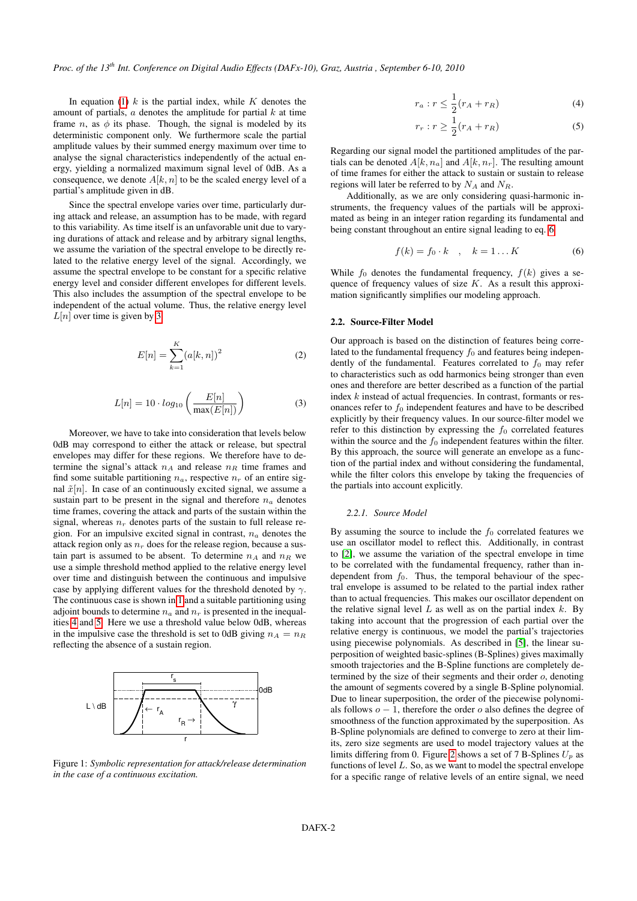In equation [\(1\)](#page-0-0)  $k$  is the partial index, while  $K$  denotes the amount of partials,  $\alpha$  denotes the amplitude for partial  $k$  at time frame n, as  $\phi$  its phase. Though, the signal is modeled by its deterministic component only. We furthermore scale the partial amplitude values by their summed energy maximum over time to analyse the signal characteristics independently of the actual energy, yielding a normalized maximum signal level of 0dB. As a consequence, we denote  $A[k, n]$  to be the scaled energy level of a partial's amplitude given in dB.

Since the spectral envelope varies over time, particularly during attack and release, an assumption has to be made, with regard to this variability. As time itself is an unfavorable unit due to varying durations of attack and release and by arbitrary signal lengths, we assume the variation of the spectral envelope to be directly related to the relative energy level of the signal. Accordingly, we assume the spectral envelope to be constant for a specific relative energy level and consider different envelopes for different levels. This also includes the assumption of the spectral envelope to be independent of the actual volume. Thus, the relative energy level  $L[n]$  over time is given by [3](#page-1-0)

$$
E[n] = \sum_{k=1}^{K} (a[k, n])^2
$$
 (2)

<span id="page-1-0"></span>
$$
L[n] = 10 \cdot log_{10}\left(\frac{E[n]}{\max(E[n])}\right) \tag{3}
$$

Moreover, we have to take into consideration that levels below 0dB may correspond to either the attack or release, but spectral envelopes may differ for these regions. We therefore have to determine the signal's attack  $n_A$  and release  $n_R$  time frames and find some suitable partitioning  $n_a$ , respective  $n_r$  of an entire signal  $\tilde{x}[n]$ . In case of an continuously excited signal, we assume a sustain part to be present in the signal and therefore  $n_a$  denotes time frames, covering the attack and parts of the sustain within the signal, whereas  $n_r$  denotes parts of the sustain to full release region. For an impulsive excited signal in contrast,  $n_a$  denotes the attack region only as  $n_r$  does for the release region, because a sustain part is assumed to be absent. To determine  $n_A$  and  $n_B$  we use a simple threshold method applied to the relative energy level over time and distinguish between the continuous and impulsive case by applying different values for the threshold denoted by  $\gamma$ . The continuous case is shown in [1](#page-1-1) and a suitable partitioning using adjoint bounds to determine  $n_a$  and  $n_r$  is presented in the inequalities [4](#page-1-2) and [5.](#page-1-3) Here we use a threshold value below 0dB, whereas in the impulsive case the threshold is set to 0dB giving  $n_A = n_B$ reflecting the absence of a sustain region.

<span id="page-1-1"></span>

Figure 1: *Symbolic representation for attack/release determination in the case of a continuous excitation.*

<span id="page-1-2"></span>
$$
r_a: r \le \frac{1}{2}(r_A + r_R) \tag{4}
$$

<span id="page-1-3"></span>
$$
r_r: r \ge \frac{1}{2}(r_A + r_R) \tag{5}
$$

Regarding our signal model the partitioned amplitudes of the partials can be denoted  $A[k, n_a]$  and  $A[k, n_r]$ . The resulting amount of time frames for either the attack to sustain or sustain to release regions will later be referred to by  $N_A$  and  $N_R$ .

Additionally, as we are only considering quasi-harmonic instruments, the frequency values of the partials will be approximated as being in an integer ration regarding its fundamental and being constant throughout an entire signal leading to eq. [6](#page-1-4)

<span id="page-1-4"></span>
$$
f(k) = f_0 \cdot k \quad , \quad k = 1 \dots K \tag{6}
$$

While  $f_0$  denotes the fundamental frequency,  $f(k)$  gives a sequence of frequency values of size  $K$ . As a result this approximation significantly simplifies our modeling approach.

### 2.2. Source-Filter Model

Our approach is based on the distinction of features being correlated to the fundamental frequency  $f_0$  and features being independently of the fundamental. Features correlated to  $f_0$  may refer to characteristics such as odd harmonics being stronger than even ones and therefore are better described as a function of the partial index k instead of actual frequencies. In contrast, formants or resonances refer to  $f_0$  independent features and have to be described explicitly by their frequency values. In our source-filter model we refer to this distinction by expressing the  $f_0$  correlated features within the source and the  $f_0$  independent features within the filter. By this approach, the source will generate an envelope as a function of the partial index and without considering the fundamental, while the filter colors this envelope by taking the frequencies of the partials into account explicitly.

#### *2.2.1. Source Model*

By assuming the source to include the  $f_0$  correlated features we use an oscillator model to reflect this. Additionally, in contrast to [\[2\]](#page-5-1), we assume the variation of the spectral envelope in time to be correlated with the fundamental frequency, rather than independent from  $f_0$ . Thus, the temporal behaviour of the spectral envelope is assumed to be related to the partial index rather than to actual frequencies. This makes our oscillator dependent on the relative signal level  $L$  as well as on the partial index  $k$ . By taking into account that the progression of each partial over the relative energy is continuous, we model the partial's trajectories using piecewise polynomials. As described in [\[5\]](#page-5-4), the linear superposition of weighted basic-splines (B-Splines) gives maximally smooth trajectories and the B-Spline functions are completely determined by the size of their segments and their order o, denoting the amount of segments covered by a single B-Spline polynomial. Due to linear superposition, the order of the piecewise polynomials follows  $o - 1$ , therefore the order o also defines the degree of smoothness of the function approximated by the superposition. As B-Spline polynomials are defined to converge to zero at their limits, zero size segments are used to model trajectory values at the limits differing from 0. Figure [2](#page-2-0) shows a set of 7 B-Splines  $U_p$  as functions of level  $L$ . So, as we want to model the spectral envelope for a specific range of relative levels of an entire signal, we need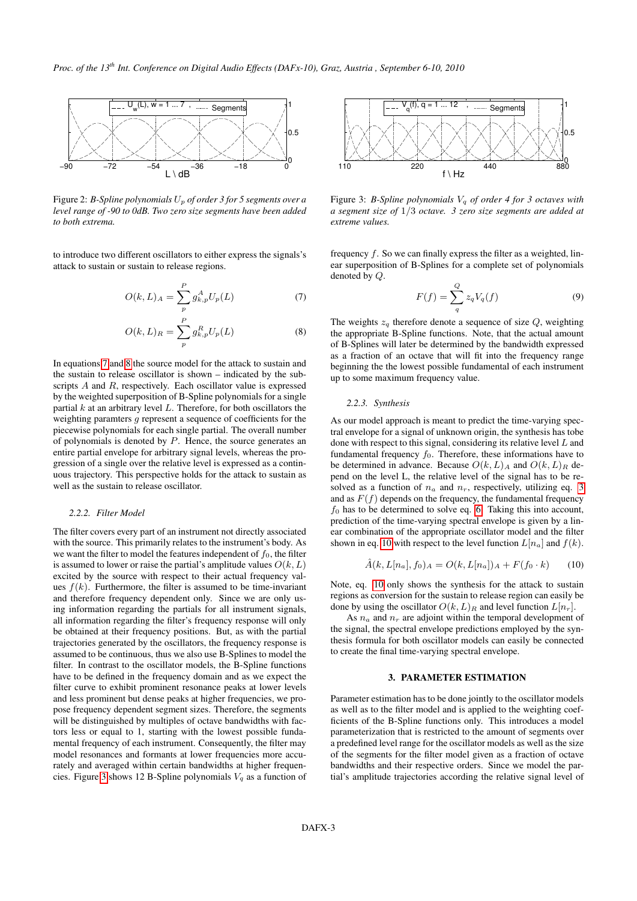<span id="page-2-0"></span>

Figure 2: *B-Spline polynomials* U<sup>p</sup> *of order 3 for 5 segments over a level range of -90 to 0dB. Two zero size segments have been added to both extrema.*

to introduce two different oscillators to either express the signals's attack to sustain or sustain to release regions.

$$
O(k, L)_{A} = \sum_{p}^{P} g_{k, p}^{A} U_{p}(L)
$$
 (7)

$$
O(k, L)_R = \sum_{p}^{P} g_{k,p}^R U_p(L)
$$
 (8)

In equations [7](#page-2-1) and [8](#page-2-2) the source model for the attack to sustain and the sustain to release oscillator is shown – indicated by the subscripts A and R, respectively. Each oscillator value is expressed by the weighted superposition of B-Spline polynomials for a single partial  $k$  at an arbitrary level  $L$ . Therefore, for both oscillators the weighting paramters g represent a sequence of coefficients for the piecewise polynomials for each single partial. The overall number of polynomials is denoted by  $P$ . Hence, the source generates an entire partial envelope for arbitrary signal levels, whereas the progression of a single over the relative level is expressed as a continuous trajectory. This perspective holds for the attack to sustain as well as the sustain to release oscillator.

#### *2.2.2. Filter Model*

The filter covers every part of an instrument not directly associated with the source. This primarily relates to the instrument's body. As we want the filter to model the features independent of  $f_0$ , the filter is assumed to lower or raise the partial's amplitude values  $O(k, L)$ excited by the source with respect to their actual frequency values  $f(k)$ . Furthermore, the filter is assumed to be time-invariant and therefore frequency dependent only. Since we are only using information regarding the partials for all instrument signals, all information regarding the filter's frequency response will only be obtained at their frequency positions. But, as with the partial trajectories generated by the oscillators, the frequency response is assumed to be continuous, thus we also use B-Splines to model the filter. In contrast to the oscillator models, the B-Spline functions have to be defined in the frequency domain and as we expect the filter curve to exhibit prominent resonance peaks at lower levels and less prominent but dense peaks at higher frequencies, we propose frequency dependent segment sizes. Therefore, the segments will be distinguished by multiples of octave bandwidths with factors less or equal to 1, starting with the lowest possible fundamental frequency of each instrument. Consequently, the filter may model resonances and formants at lower frequencies more accurately and averaged within certain bandwidths at higher frequen-cies. Figure [3](#page-2-3) shows 12 B-Spline polynomials  $V_q$  as a function of

<span id="page-2-3"></span>

Figure 3: *B-Spline polynomials* V<sup>q</sup> *of order 4 for 3 octaves with a segment size of* 1/3 *octave. 3 zero size segments are added at extreme values.*

frequency  $f$ . So we can finally express the filter as a weighted, linear superposition of B-Splines for a complete set of polynomials denoted by Q.

$$
F(f) = \sum_{q}^{Q} z_q V_q(f) \tag{9}
$$

<span id="page-2-2"></span><span id="page-2-1"></span>The weights  $z_q$  therefore denote a sequence of size  $Q$ , weighting the appropriate B-Spline functions. Note, that the actual amount of B-Splines will later be determined by the bandwidth expressed as a fraction of an octave that will fit into the frequency range beginning the the lowest possible fundamental of each instrument up to some maximum frequency value.

### *2.2.3. Synthesis*

As our model approach is meant to predict the time-varying spectral envelope for a signal of unknown origin, the synthesis has tobe done with respect to this signal, considering its relative level  $L$  and fundamental frequency  $f_0$ . Therefore, these informations have to be determined in advance. Because  $O(k, L)$ <sub>A</sub> and  $O(k, L)$ <sub>R</sub> depend on the level L, the relative level of the signal has to be resolved as a function of  $n_a$  and  $n_r$ , respectively, utilizing eq. [3](#page-1-0) and as  $F(f)$  depends on the frequency, the fundamental frequency  $f_0$  has to be determined to solve eq. [6.](#page-1-4) Taking this into account, prediction of the time-varying spectral envelope is given by a linear combination of the appropriate oscillator model and the filter shown in eq. [10](#page-2-4) with respect to the level function  $L[n_a]$  and  $f(k)$ .

<span id="page-2-4"></span>
$$
\hat{A}(k, L[n_a], f_0)_{A} = O(k, L[n_a])_{A} + F(f_0 \cdot k) \tag{10}
$$

Note, eq. [10](#page-2-4) only shows the synthesis for the attack to sustain regions as conversion for the sustain to release region can easily be done by using the oscillator  $O(k, L)$ <sub>R</sub> and level function  $L[n_r]$ .

As  $n_a$  and  $n_r$  are adjoint within the temporal development of the signal, the spectral envelope predictions employed by the synthesis formula for both oscillator models can easily be connected to create the final time-varying spectral envelope.

#### 3. PARAMETER ESTIMATION

Parameter estimation has to be done jointly to the oscillator models as well as to the filter model and is applied to the weighting coefficients of the B-Spline functions only. This introduces a model parameterization that is restricted to the amount of segments over a predefined level range for the oscillator models as well as the size of the segments for the filter model given as a fraction of octave bandwidths and their respective orders. Since we model the partial's amplitude trajectories according the relative signal level of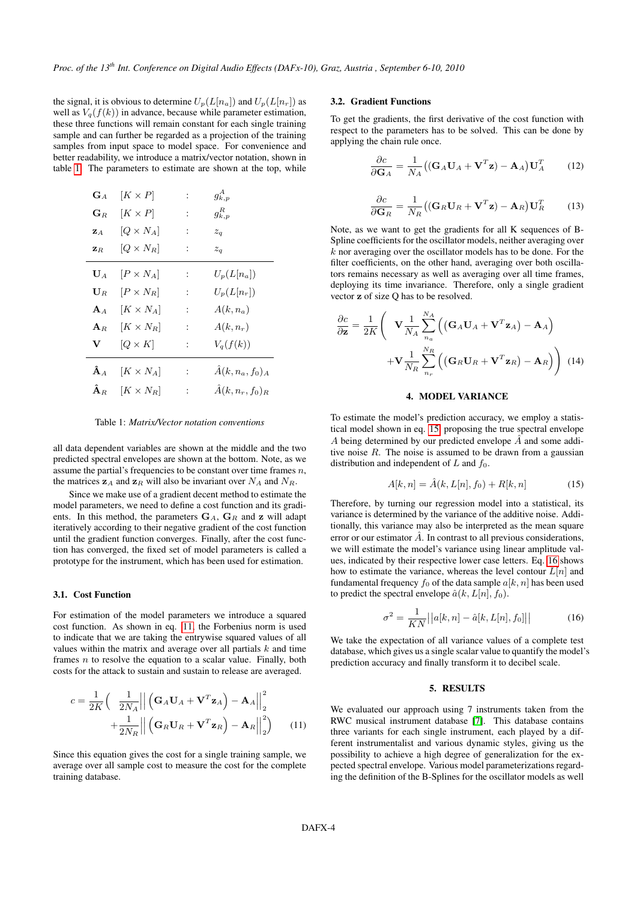the signal, it is obvious to determine  $U_p(L[n_a])$  and  $U_p(L[n_r])$  as well as  $V_q(f(k))$  in advance, because while parameter estimation, these three functions will remain constant for each single training sample and can further be regarded as a projection of the training samples from input space to model space. For convenience and better readability, we introduce a matrix/vector notation, shown in table [1.](#page-3-0) The parameters to estimate are shown at the top, while

<span id="page-3-0"></span>

| $G_A$                  | $[K \times P]$   |                             | $g^A_{k,p}$            |
|------------------------|------------------|-----------------------------|------------------------|
| $\mathbf{G}_R$         | $[K \times P]$   | $\ddot{\phantom{a}}$        | $g_{k,p}^R$            |
| $\mathbf{z}_A$         | $[Q \times N_A]$ | ÷                           | $z_q$                  |
| $\mathbf{z}_R$         | $[Q \times N_R]$ | ÷                           | $z_q$                  |
| $\mathbf{U}_A$         | $ P \times N_A $ | $\ddot{\phantom{0}}$        | $U_p(L[n_a])$          |
| $\mathbf{U}_R$         | $[P \times N_R]$ | $\ddot{\cdot}$              | $U_p(L[n_r])$          |
| $A_A$                  | $[K \times N_A]$ | ÷                           | $A(k,n_a)$             |
| ${\bf A}_R$            | $[K \times N_R]$ | $\ddot{\phantom{a}}$        | $A(k,n_r)$             |
| V                      | $[Q \times K]$   | ÷                           | $V_q(f(k))$            |
| $\mathbf{\hat{A}}_A$   | $[K \times N_A]$ | $\mathcal{L} = \mathcal{L}$ | $\hat{A}(k,n_a,f_0)_A$ |
| $\mathbf{\hat{A}}_{R}$ | $[K \times N_R]$ | $\ddot{\phantom{0}}$        | $\hat{A}(k,n_r,f_0)_R$ |

Table 1: *Matrix/Vector notation conventions*

all data dependent variables are shown at the middle and the two predicted spectral envelopes are shown at the bottom. Note, as we assume the partial's frequencies to be constant over time frames  $n$ , the matrices  $z_A$  and  $z_R$  will also be invariant over  $N_A$  and  $N_R$ .

Since we make use of a gradient decent method to estimate the model parameters, we need to define a cost function and its gradients. In this method, the parameters  $G_A$ ,  $G_R$  and z will adapt iteratively according to their negative gradient of the cost function until the gradient function converges. Finally, after the cost function has converged, the fixed set of model parameters is called a prototype for the instrument, which has been used for estimation.

### 3.1. Cost Function

For estimation of the model parameters we introduce a squared cost function. As shown in eq. [11,](#page-3-1) the Forbenius norm is used to indicate that we are taking the entrywise squared values of all values within the matrix and average over all partials  $k$  and time frames  $n$  to resolve the equation to a scalar value. Finally, both costs for the attack to sustain and sustain to release are averaged.

$$
c = \frac{1}{2K} \left( \frac{1}{2N_A} \left| \left| \left( \mathbf{G}_A \mathbf{U}_A + \mathbf{V}^T \mathbf{z}_A \right) - \mathbf{A}_A \right| \right|_2^2 + \frac{1}{2N_R} \left| \left| \left( \mathbf{G}_R \mathbf{U}_R + \mathbf{V}^T \mathbf{z}_R \right) - \mathbf{A}_R \right| \right|_2^2 \right)
$$
(11)

Since this equation gives the cost for a single training sample, we average over all sample cost to measure the cost for the complete training database.

### 3.2. Gradient Functions

To get the gradients, the first derivative of the cost function with respect to the parameters has to be solved. This can be done by applying the chain rule once.

$$
\frac{\partial c}{\partial \mathbf{G}_A} = \frac{1}{N_A} \big( (\mathbf{G}_A \mathbf{U}_A + \mathbf{V}^T \mathbf{z}) - \mathbf{A}_A \big) \mathbf{U}_A^T \qquad (12)
$$

$$
\frac{\partial c}{\partial \mathbf{G}_R} = \frac{1}{N_R} \big( (\mathbf{G}_R \mathbf{U}_R + \mathbf{V}^T \mathbf{z}) - \mathbf{A}_R \big) \mathbf{U}_R^T \qquad (13)
$$

Note, as we want to get the gradients for all K sequences of B-Spline coefficients for the oscillator models, neither averaging over  $k$  nor averaging over the oscillator models has to be done. For the filter coefficients, on the other hand, averaging over both oscillators remains necessary as well as averaging over all time frames, deploying its time invariance. Therefore, only a single gradient vector z of size Q has to be resolved.

$$
\frac{\partial c}{\partial \mathbf{z}} = \frac{1}{2K} \left( \mathbf{V} \frac{1}{N_A} \sum_{n_a}^{N_A} \left( (\mathbf{G}_A \mathbf{U}_A + \mathbf{V}^T \mathbf{z}_A) - \mathbf{A}_A \right) + \mathbf{V} \frac{1}{N_R} \sum_{n_r}^{N_R} \left( (\mathbf{G}_R \mathbf{U}_R + \mathbf{V}^T \mathbf{z}_R) - \mathbf{A}_R \right) \right)
$$
(14)

### 4. MODEL VARIANCE

To estimate the model's prediction accuracy, we employ a statistical model shown in eq. [15,](#page-3-2) proposing the true spectral envelope A being determined by our predicted envelope  $\hat{A}$  and some additive noise  $R$ . The noise is assumed to be drawn from a gaussian distribution and independent of  $L$  and  $f_0$ .

<span id="page-3-2"></span>
$$
A[k,n] = \hat{A}(k, L[n], f_0) + R[k,n]
$$
\n(15)

Therefore, by turning our regression model into a statistical, its variance is determined by the variance of the additive noise. Additionally, this variance may also be interpreted as the mean square error or our estimator  $\hat{A}$ . In contrast to all previous considerations, we will estimate the model's variance using linear amplitude values, indicated by their respective lower case letters. Eq. [16](#page-3-3) shows how to estimate the variance, whereas the level contour  $L[n]$  and fundamental frequency  $f_0$  of the data sample  $a[k, n]$  has been used to predict the spectral envelope  $\hat{a}(k, L[n], f_0)$ .

<span id="page-3-3"></span>
$$
\sigma^2 = \frac{1}{KN} ||a[k, n] - \hat{a}[k, L[n], f_0] ||
$$
\n(16)

We take the expectation of all variance values of a complete test database, which gives us a single scalar value to quantify the model's prediction accuracy and finally transform it to decibel scale.

#### 5. RESULTS

<span id="page-3-1"></span>We evaluated our approach using 7 instruments taken from the RWC musical instrument database [\[7\]](#page-5-6). This database contains three variants for each single instrument, each played by a different instrumentalist and various dynamic styles, giving us the possibility to achieve a high degree of generalization for the expected spectral envelope. Various model parameterizations regarding the definition of the B-Splines for the oscillator models as well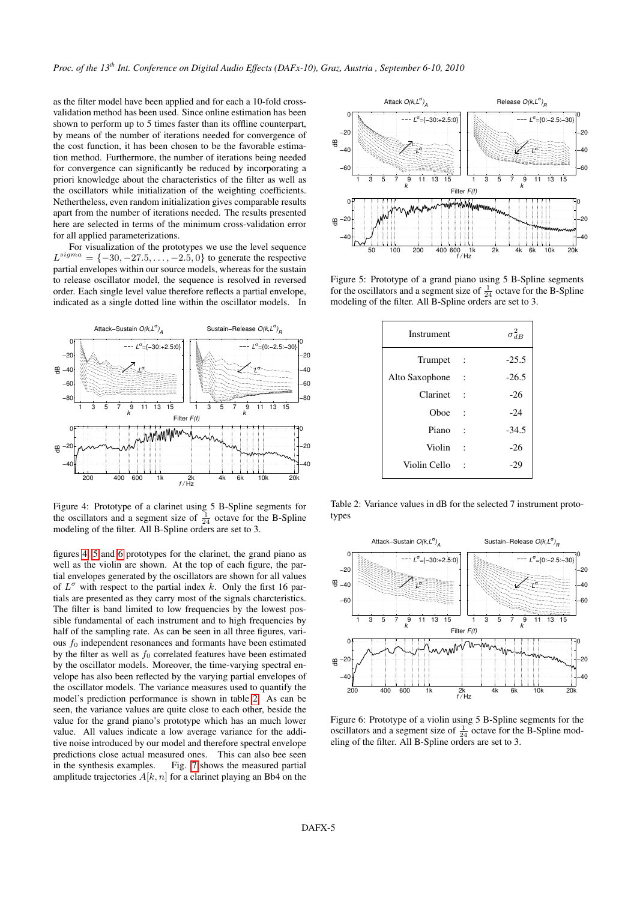as the filter model have been applied and for each a 10-fold crossvalidation method has been used. Since online estimation has been shown to perform up to 5 times faster than its offline counterpart, by means of the number of iterations needed for convergence of the cost function, it has been chosen to be the favorable estimation method. Furthermore, the number of iterations being needed for convergence can significantly be reduced by incorporating a priori knowledge about the characteristics of the filter as well as the oscillators while initialization of the weighting coefficients. Nethertheless, even random initialization gives comparable results apart from the number of iterations needed. The results presented here are selected in terms of the minimum cross-validation error for all applied parameterizations.

For visualization of the prototypes we use the level sequence  $L^{sigma} = \{-30, -27.5, \ldots, -2.5, 0\}$  to generate the respective partial envelopes within our source models, whereas for the sustain to release oscillator model, the sequence is resolved in reversed order. Each single level value therefore reflects a partial envelope, indicated as a single dotted line within the oscillator models. In

<span id="page-4-0"></span>

Figure 4: Prototype of a clarinet using 5 B-Spline segments for the oscillators and a segment size of  $\frac{1}{24}$  octave for the B-Spline modeling of the filter. All B-Spline orders are set to 3.

figures [4,](#page-4-0) [5](#page-4-1) and [6](#page-4-2) prototypes for the clarinet, the grand piano as well as the violin are shown. At the top of each figure, the partial envelopes generated by the oscillators are shown for all values of  $L^{\sigma}$  with respect to the partial index k. Only the first 16 partials are presented as they carry most of the signals charcteristics. The filter is band limited to low frequencies by the lowest possible fundamental of each instrument and to high frequencies by half of the sampling rate. As can be seen in all three figures, various  $f_0$  independent resonances and formants have been estimated by the filter as well as  $f_0$  correlated features have been estimated by the oscillator models. Moreover, the time-varying spectral envelope has also been reflected by the varying partial envelopes of the oscillator models. The variance measures used to quantify the model's prediction performance is shown in table [2.](#page-4-3) As can be seen, the variance values are quite close to each other, beside the value for the grand piano's prototype which has an much lower value. All values indicate a low average variance for the additive noise introduced by our model and therefore spectral envelope predictions close actual measured ones. This can also bee seen in the synthesis examples. Fig. [7](#page-5-7) shows the measured partial amplitude trajectories  $A[k, n]$  for a clarinet playing an Bb4 on the

<span id="page-4-1"></span>

<span id="page-4-3"></span>Figure 5: Prototype of a grand piano using 5 B-Spline segments for the oscillators and a segment size of  $\frac{1}{24}$  octave for the B-Spline modeling of the filter. All B-Spline orders are set to 3.

| Instrument     |                      | $\sigma_{dB}^2$ |
|----------------|----------------------|-----------------|
| Trumpet        |                      | $-25.5$         |
| Alto Saxophone |                      | $-26.5$         |
| Clarinet       |                      | $-26$           |
| Oboe           |                      | $-24$           |
| Piano          |                      | $-34.5$         |
| Violin         | $\ddot{\phantom{0}}$ | $-26$           |
| Violin Cello   |                      | $-29$           |

Table 2: Variance values in dB for the selected 7 instrument prototypes

<span id="page-4-2"></span>

Figure 6: Prototype of a violin using 5 B-Spline segments for the oscillators and a segment size of  $\frac{1}{24}$  octave for the B-Spline modeling of the filter. All B-Spline orders are set to 3.